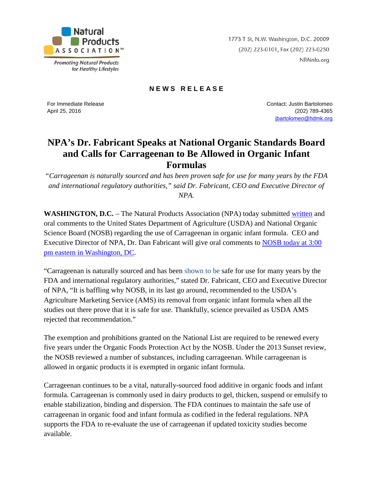

**Promoting Natural Products** for Healthy Lifestyles 1773 T St, N.W. Washington, D.C. 20009 (202) 223-0101, Fax (202) 223-0250 NPAinfo.org

## **N E W S R E L E A S E**

For Immediate Release April 25, 2016

Contact: Justin Bartolomeo (202) 789-4365 [jbartolomeo@hdmk.org](mailto:jbartolomeo@hdmk.org)

## **NPA's Dr. Fabricant Speaks at National Organic Standards Board and Calls for Carrageenan to Be Allowed in Organic Infant Formulas**

*"Carrageenan is naturally sourced and has been proven safe for use for many years by the FDA and international regulatory authorities," said Dr. Fabricant, CEO and Executive Director of NPA.*

**WASHINGTON, D.C.** – The Natural Products Association (NPA) today submitted [written](http://www.npainfo.org/App_Themes/NPA/docs/press/PressReleases/NPA%20Comments%20AMS-NOP-15-0085-0001%20FINAL%20041416.pdf) and oral comments to the United States Department of Agriculture (USDA) and National Organic Science Board (NOSB) regarding the use of Carrageenan in organic infant formula. CEO and Executive Director of NPA, Dr. Dan Fabricant will give oral comments to [NOSB today at 3:00](https://www.ams.usda.gov/event/nosb-spring-2016-meeting-washington-dc)  [pm eastern in Washington, DC.](https://www.ams.usda.gov/event/nosb-spring-2016-meeting-washington-dc)

"Carrageenan is naturally sourced and has been shown to be safe for use for many years by the FDA and international regulatory authorities," stated Dr. Fabricant, CEO and Executive Director of NPA, "It is baffling why NOSB, in its last go around, recommended to the USDA's Agriculture Marketing Service (AMS) its removal from organic infant formula when all the studies out there prove that it is safe for use. Thankfully, science prevailed as USDA AMS rejected that recommendation."

The exemption and prohibitions granted on the National List are required to be renewed every five years under the Organic Foods Protection Act by the NOSB. Under the 2013 Sunset review, the NOSB reviewed a number of substances, including carrageenan. While carrageenan is allowed in organic products it is exempted in organic infant formula.

Carrageenan continues to be a vital, naturally-sourced food additive in organic foods and infant formula. Carrageenan is commonly used in dairy products to gel, thicken, suspend or emulsify to enable stabilization, binding and dispersion. The FDA continues to maintain the safe use of carrageenan in organic food and infant formula as codified in the federal regulations. NPA supports the FDA to re-evaluate the use of carrageenan if updated toxicity studies become available.